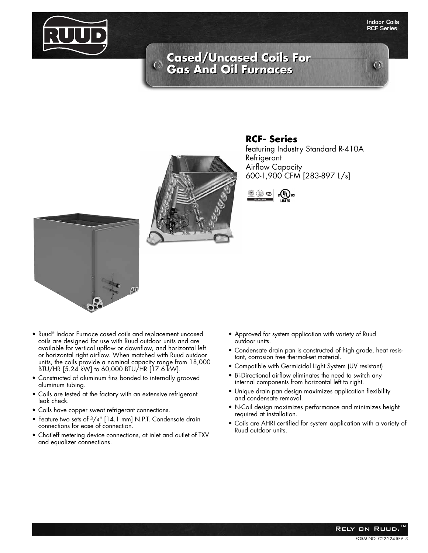

#### **Indoor Coils RCF Series**

 $\mathcal{O}$ 

# **Cased/Uncased Coils For Cased/Uncased Coils For Gas And Oil Furnaces Gas And Oil Furnaces**



### **RCF- Series**

featuring Industry Standard R-410A Refrigerant Airflow Capacity 600-1,900 CFM [283-897 L/s]





- Ruud® Indoor Furnace cased coils and replacement uncased coils are designed for use with Ruud outdoor units and are available for vertical upflow or downflow, and horizontal left or horizontal right airflow. When matched with Ruud outdoor units, the coils provide a nominal capacity range from 18,000 BTU/HR [5.24 kW] to 60,000 BTU/HR [17.6 kW].
- Constructed of aluminum fins bonded to internally grooved aluminum tubing.
- Coils are tested at the factory with an extensive refrigerant leak check.
- Coils have copper sweat refrigerant connections.
- Feature two sets of 3/4" [14.1 mm] N.P.T. Condensate drain connections for ease of connection.
- Chatleff metering device connections, at inlet and outlet of TXV and equalizer connections.
- Approved for system application with variety of Ruud outdoor units.
- Condensate drain pan is constructed of high grade, heat resistant, corrosion free thermal-set material.
- Compatible with Germicidal Light System (UV resistant)
- Bi-Directional airflow eliminates the need to switch any internal components from horizontal left to right.
- Unique drain pan design maximizes application flexibility and condensate removal.
- N-Coil design maximizes performance and minimizes height required at installation.
- Coils are AHRI certified for system application with a variety of Ruud outdoor units.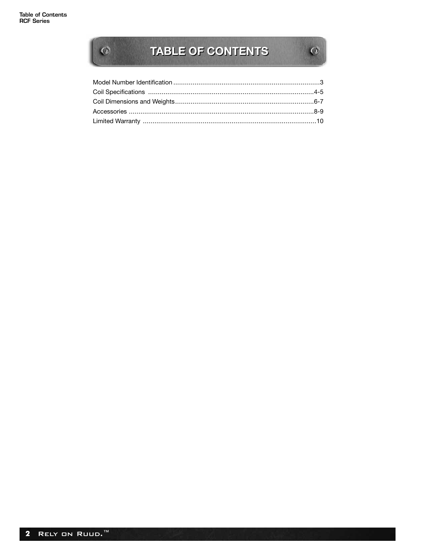$\overline{\mathcal{O}}$ 

# TABLE OF CONTENTS

 $\left| \mathbf{Q} \right|$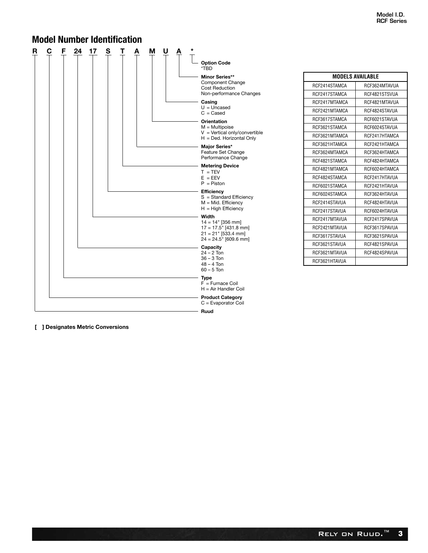**MODELS AVAILABLE** RCF2414STAMCA RCF3624MTAVUA RCF2417STAMCA | RCF4821STSVUA RCF2417MTAMCA RCF4821MTAVUA RCF2421MTAMCA RCF4824STAVUA RCF3617STAMCA | RCF6021STAVUA RCF3621STAMCA RCF6024STAVUA RCF3621MTAMCA | RCF2417HTAMCA RCF3621HTAMCA | RCF2421HTAMCA RCF3624MTAMCA | RCF3624HTAMCA RCF4821STAMCA | RCF4824HTAMCA RCF4821MTAMCA | RCF6024HTAMCA RCF4824STAMCA | RCF2417HTAVUA RCF6021STAMCA | RCF2421HTAVUA RCF6024STAMCA RCF3624HTAVUA RCF2414STAVUA | RCF4824HTAVUA RCF2417STAVUA RCF6024HTAVUA RCF2417MTAVUA | RCF2417SPAVUA RCF2421MTAVUA RCF3617SPAVUA RCF3617STAVUA | RCF3621SPAVUA RCF3621STAVUA RCF4821SPAVUA RCF3621MTAVUA RCF4824SPAVUA

RCF3621HTAVUA

#### **R C F 24 17 S T A M U A \* Option Code** \*TBD **Minor Series\*\*** Component Change Cost Reduction Non-performance Changes **Casing** U = Uncased C = Cased **Orientation** M = Multipoise V = Vertical only/convertible H = Ded. Horizontal Only **Major Series\*** Feature Set Change Performance Change **Metering Device**  $T = TEV$  $E = EEV$ P = Piston **Efficiency** S = Standard Efficiency M = Mid. Efficiency  $H = High$  Efficiency **Width** 14 = 14" [356 mm] 17 = 17.5" [431.8 mm] 21 = 21" [533.4 mm] 24 = 24.5" [609.6 mm] **Capacity** 24 – 2 Ton 36 – 3 Ton 48 – 4 Ton 60 – 5 Ton **Type**  $F =$  Furnace Coil H = Air Handler Coil **Product Category** C = Evaporator Coil **Ruud Model Number Identification**

**[ ] Designates Metric Conversions**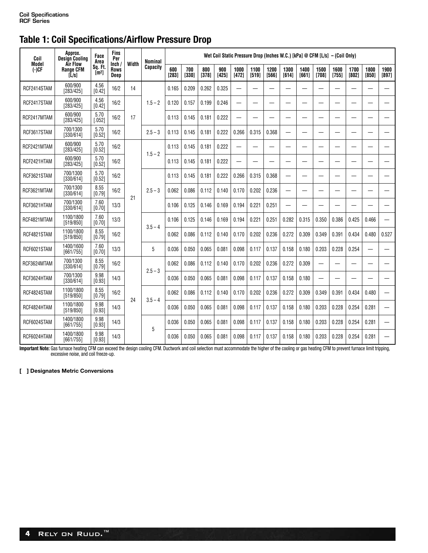# **Table 1: Coil Specifications/Airflow Pressure Drop**

| Coil             | Approx.<br><b>Design Cooling</b>                 | Face<br>Area                 | Fins<br>Per            | Width | Nominal   |              |              |              |              |                          |                 |               |                          |               |                                  | Wet Coil Static Pressure Drop (Inches W.C.) [kPa] @ CFM [L/s] $-$ (Coil Only) |               |               |               |
|------------------|--------------------------------------------------|------------------------------|------------------------|-------|-----------|--------------|--------------|--------------|--------------|--------------------------|-----------------|---------------|--------------------------|---------------|----------------------------------|-------------------------------------------------------------------------------|---------------|---------------|---------------|
| Model<br>$(-)CF$ | Air Flow<br><b>Range CFM</b><br>$\overline{L}/s$ | Sq. Ft.<br>[m <sup>2</sup> ] | Inch /<br>Rows<br>Deep |       | Capacity  | 600<br>[283] | 700<br>[330] | 800<br>[378] | 900<br>[425] | 1000<br>[472]            | 1100<br>$[519]$ | 1200<br>[566] | 1300<br>[614]            | 1400<br>[661] | 1500<br>[708]                    | 1600<br>[755]                                                                 | 1700<br>[802] | 1800<br>[850] | 1900<br>[897] |
| RCF2414STAM      | 600/900<br>[283/425]                             | 4.56<br>[0.42]               | 16/2                   | 14    |           | 0.165        | 0.209        | 0.262        | 0.325        | $\overline{\phantom{0}}$ |                 |               |                          |               |                                  |                                                                               |               |               |               |
| RCF2417STAM      | 600/900<br>[283/425]                             | 4.56<br>$[0.42]$             | 16/2                   |       | $1.5 - 2$ | 0.120        | 0.157        | 0.199        | 0.246        | $\overline{\phantom{0}}$ |                 | —             |                          |               |                                  |                                                                               |               |               |               |
| RCF2417MTAM      | 600/900<br>[283/425]                             | 5.70<br>[.052]               | 16/2                   | 17    |           | 0.113        | 0.145        | 0.181        | 0.222        |                          |                 |               |                          |               |                                  |                                                                               |               |               |               |
| RCF3617STAM      | 700/1300<br>[330/614]                            | 5.70<br>[0.52]               | 16/2                   |       | $2.5 - 3$ | 0.113        | 0.145        | 0.181        | 0.222        | 0.266                    | 0.315           | 0.368         |                          |               |                                  |                                                                               |               |               |               |
| RCF2421MTAM      | 600/900<br>[283/425]                             | 5.70<br>[0.52]               | 16/2                   |       | $1.5 - 2$ | 0.113        | 0.145        | 0.181        | 0.222        |                          |                 |               |                          |               |                                  |                                                                               |               |               |               |
| RCF2421HTAM      | 600/900<br>[283/425]                             | 5.70<br>[0.52]               | 16/2                   |       |           | 0.113        | 0.145        | 0.181        | 0.222        |                          |                 |               |                          |               |                                  |                                                                               |               |               |               |
| RCF3621STAM      | 700/1300<br>[330/614]                            | 5.70<br>[0.52]               | 16/2                   |       |           | 0.113        | 0.145        | 0.181        | 0.222        | 0.266                    | 0.315           | 0.368         | $\overline{\phantom{0}}$ |               | ÷,                               |                                                                               |               |               |               |
| RCF3621MTAM      | 700/1300<br>[330/614]                            | 8.55<br>[0.79]               | 16/2                   |       | $2.5 - 3$ | 0.062        | 0.086        | 0.112        | 0.140        | 0.170                    | 0.202           | 0.236         |                          |               |                                  |                                                                               |               |               |               |
| RCF3621HTAM      | 700/1300<br>[330/614]                            | 7.60<br>[0.70]               | 13/3                   | 21    |           | 0.106        | 0.125        | 0.146        | 0.169        | 0.194                    | 0.221           | 0.251         |                          |               |                                  |                                                                               |               |               |               |
| RCF4821MTAM      | 1100/1800<br>[519/850]                           | 7.60<br>[0.70]               | 13/3                   |       | $3.5 - 4$ | 0.106        | 0.125        | 0.146        | 0.169        | 0.194                    | 0.221           | 0.251         | 0.282                    | 0.315         | 0.350                            | 0.386                                                                         | 0.425         | 0.466         |               |
| RCF4821STAM      | 1100/1800<br>[519/850]                           | 8.55<br>[0.79]               | 16/2                   |       |           | 0.062        | 0.086        | 0.112        | 0.140        | 0.170                    | 0.202           | 0.236         | 0.272                    | 0.309         | 0.349                            | 0.391                                                                         | 0.434         | 0.480         | 0.527         |
| RCF6021STAM      | 1400/1600<br>[661/755]                           | 7.60<br>[0.70]               | 13/3                   |       | 5         | 0.036        | 0.050        | 0.065        | 0.081        | 0.098                    | 0.117           | 0.137         | 0.158                    | 0.180         | 0.203                            | 0.228                                                                         | 0.254         |               |               |
| RCF3624MTAM      | 700/1300<br>[330/614]                            | 8.55<br>[0.79]               | 16/2                   |       |           | 0.062        | 0.086        | 0.112        | 0.140        | 0.170                    | 0.202           | 0.236         | 0.272                    | 0.309         | $\overline{\phantom{0}}$         |                                                                               |               |               |               |
| RCF3624HTAM      | 700/1300<br>[330/614]                            | 9.98<br>[0.93]               | 14/3                   |       | $2.5 - 3$ | 0.036        | 0.050        | 0.065        | 0.081        | 0.098                    | 0.117           | 0.137         | 0.158                    | 0.180         | $\overbrace{\phantom{12322111}}$ |                                                                               |               |               |               |
| RCF4824STAM      | 1100/1800<br>[519/850]                           | 8.55<br>[0.79]               | 16/2                   |       |           | 0.062        | 0.086        | 0.112        | 0.140        | 0.170                    | 0.202           | 0.236         | 0.272                    | 0.309         | 0.349                            | 0.391                                                                         | 0.434         | 0.480         |               |
| RCF4824HTAM      | 1100/1800<br>[519/850]                           | 9.98<br>[0.93]               | 14/3                   | 24    | $3.5 - 4$ | 0.036        | 0.050        | 0.065        | 0.081        | 0.098                    | 0.117           | 0.137         | 0.158                    | 0.180         | 0.203                            | 0.228                                                                         | 0.254         | 0.281         |               |
| RCF6024STAM      | 1400/1800<br>[661/755]                           | 9.98<br>[0.93]               | 14/3                   |       |           | 0.036        | 0.050        | 0.065        | 0.081        | 0.098                    | 0.117           | 0.137         | 0.158                    | 0.180         | 0.203                            | 0.228                                                                         | 0.254         | 0.281         |               |
| RCF6024HTAM      | 1400/1800<br>[661/755]                           | 9.98<br>[0.93]               | 14/3                   |       | 5         | 0.036        | 0.050        | 0.065        | 0.081        | 0.098                    | 0.117           | 0.137         | 0.158                    | 0.180         | 0.203                            | 0.228                                                                         | 0.254         | 0.281         |               |

**Important Note:** Gas furnace heating CFM can exceed the design cooling CFM. Ductwork and coil selection must accommodate the higher of the cooling or gas heating CFM to prevent furnace limit tripping,<br>excessive noise, and

**[ ] Designates Metric Conversions**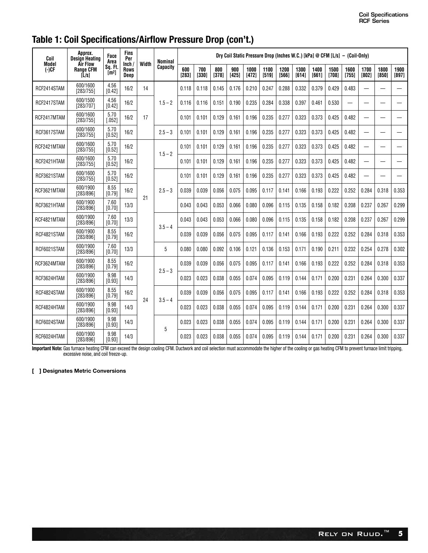# **Table 1: Coil Specifications/Airflow Pressure Drop (con't.)**

| Coil              | Approx.<br>Desian Heatina             | Face<br>Area                 | Fins<br>Per                  | Width | Nominal   |                |              |              |              |                 |               |               |               |               |               | Dry Coil Static Pressure Drop (Inches W.C.) [kPa] @ CFM $[L/s] - (Coil-Only)$ |                          |               |               |
|-------------------|---------------------------------------|------------------------------|------------------------------|-------|-----------|----------------|--------------|--------------|--------------|-----------------|---------------|---------------|---------------|---------------|---------------|-------------------------------------------------------------------------------|--------------------------|---------------|---------------|
| Model<br>$(-)$ CF | Air Flow<br><b>Range CFM</b><br>[L/s] | Sq. Ft.<br>[m <sup>2</sup> ] | lnch/<br><b>Rows</b><br>Deep |       | Capacity  | 600<br>$[283]$ | 700<br>[330] | 800<br>[378] | 900<br>[425] | 1000<br>$[472]$ | 1100<br>[519] | 1200<br>[566] | 1300<br>[614] | 1400<br>[661] | 1500<br>[708] | 1600<br>[755]                                                                 | 1700<br>[802]            | 1800<br>[850] | 1900<br>[897] |
| RCF2414STAM       | 600/1600<br>[283/755]                 | 4.56<br>[0.42]               | 16/2                         | 14    |           | 0.118          | 0.118        | 0.145        | 0.176        | 0.210           | 0.247         | 0.288         | 0.332         | 0.379         | 0.429         | 0.483                                                                         | $\overline{\phantom{0}}$ |               |               |
| RCF2417STAM       | 600/1500<br>[283/707]                 | 4.56<br>[0.42]               | 16/2                         |       | $1.5 - 2$ | 0.116          | 0.116        | 0.151        | 0.190        | 0.235           | 0.284         | 0.338         | 0.397         | 0.461         | 0.530         |                                                                               |                          |               |               |
| RCF2417MTAM       | 600/1600<br>[283/755]                 | 5.70<br>[.052]               | 16/2                         | 17    |           | 0.101          | 0.101        | 0.129        | 0.161        | 0.196           | 0.235         | 0.277         | 0.323         | 0.373         | 0.425         | 0.482                                                                         | $\overline{\phantom{0}}$ |               |               |
| RCF3617STAM       | 600/1600<br>[283/755]                 | 5.70<br>[0.52]               | 16/2                         |       | $2.5 - 3$ | 0.101          | 0.101        | 0.129        | 0.161        | 0.196           | 0.235         | 0.277         | 0.323         | 0.373         | 0.425         | 0.482                                                                         | $\overline{\phantom{0}}$ |               |               |
| RCF2421MTAM       | 600/1600<br>[283/755]                 | 5.70<br>[0.52]               | 16/2                         |       | $1.5 - 2$ | 0.101          | 0.101        | 0.129        | 0.161        | 0.196           | 0.235         | 0.277         | 0.323         | 0.373         | 0.425         | 0.482                                                                         |                          |               |               |
| RCF2421HTAM       | 600/1600<br>[283/755]                 | 5.70<br>[0.52]               | 16/2                         |       |           | 0.101          | 0.101        | 0.129        | 0.161        | 0.196           | 0.235         | 0.277         | 0.323         | 0.373         | 0.425         | 0.482                                                                         | $\overline{\phantom{0}}$ |               |               |
| RCF3621STAM       | 600/1600<br>[283/755]                 | 5.70<br>[0.52]               | 16/2                         |       |           | 0.101          | 0.101        | 0.129        | 0.161        | 0.196           | 0.235         | 0.277         | 0.323         | 0.373         | 0.425         | 0.482                                                                         | —                        |               |               |
| RCF3621MTAM       | 600/1900<br>[283/896]                 | 8.55<br>[0.79]               | 16/2                         | 21    | $2.5 - 3$ | 0.039          | 0.039        | 0.056        | 0.075        | 0.095           | 0.117         | 0.141         | 0.166         | 0.193         | 0.222         | 0.252                                                                         | 0.284                    | 0.318         | 0.353         |
| RCF3621HTAM       | 600/1900<br>[283/896]                 | 7.60<br>[0.70]               | 13/3                         |       |           | 0.043          | 0.043        | 0.053        | 0.066        | 0.080           | 0.096         | 0.115         | 0.135         | 0.158         | 0.182         | 0.208                                                                         | 0.237                    | 0.267         | 0.299         |
| RCF4821MTAM       | 600/1900<br>[283/896]                 | 7.60<br>[0.70]               | 13/3                         |       | $3.5 - 4$ | 0.043          | 0.043        | 0.053        | 0.066        | 0.080           | 0.096         | 0.115         | 0.135         | 0.158         | 0.182         | 0.208                                                                         | 0.237                    | 0.267         | 0.299         |
| RCF4821STAM       | 600/1900<br>[283/896]                 | 8.55<br>[0.79]               | 16/2                         |       |           | 0.039          | 0.039        | 0.056        | 0.075        | 0.095           | 0.117         | 0.141         | 0.166         | 0.193         | 0.222         | 0.252                                                                         | 0.284                    | 0.318         | 0.353         |
| RCF6021STAM       | 600/1900<br>[283/896]                 | 7.60<br>[0.70]               | 13/3                         |       | 5         | 0.080          | 0.080        | 0.092        | 0.106        | 0.121           | 0.136         | 0.153         | 0.171         | 0.190         | 0.211         | 0.232                                                                         | 0.254                    | 0.278         | 0.302         |
| RCF3624MTAM       | 600/1900<br>[283/896]                 | 8.55<br>[0.79]               | 16/2                         |       | $2.5 - 3$ | 0.039          | 0.039        | 0.056        | 0.075        | 0.095           | 0.117         | 0.141         | 0.166         | 0.193         | 0.222         | 0.252                                                                         | 0.284                    | 0.318         | 0.353         |
| RCF3624HTAM       | 600/1900<br>[283/896]                 | 9.98<br>[0.93]               | 14/3                         |       |           | 0.023          | 0.023        | 0.038        | 0.055        | 0.074           | 0.095         | 0.119         | 0.144         | 0.171         | 0.200         | 0.231                                                                         | 0.264                    | 0.300         | 0.337         |
| RCF4824STAM       | 600/1900<br>[283/896]                 | 8.55<br>[0.79]               | 16/2                         | 24    |           | 0.039          | 0.039        | 0.056        | 0.075        | 0.095           | 0.117         | 0.141         | 0.166         | 0.193         | 0.222         | 0.252                                                                         | 0.284                    | 0.318         | 0.353         |
| RCF4824HTAM       | 600/1900<br>[283/896]                 | 9.98<br>[0.93]               | 14/3                         |       | $3.5 - 4$ | 0.023          | 0.023        | 0.038        | 0.055        | 0.074           | 0.095         | 0.119         | 0.144         | 0.171         | 0.200         | 0.231                                                                         | 0.264                    | 0.300         | 0.337         |
| RCF6024STAM       | 600/1900<br>[283/896]                 | 9.98<br>[0.93]               | 14/3                         |       | 5         | 0.023          | 0.023        | 0.038        | 0.055        | 0.074           | 0.095         | 0.119         | 0.144         | 0.171         | 0.200         | 0.231                                                                         | 0.264                    | 0.300         | 0.337         |
| RCF6024HTAM       | 600/1900<br>[283/896]                 | 9.98<br>[0.93]               | 14/3                         |       |           | 0.023          | 0.023        | 0.038        | 0.055        | 0.074           | 0.095         | 0.119         | 0.144         | 0.171         | 0.200         | 0.231                                                                         | 0.264                    | 0.300         | 0.337         |

**Important Note:** Gas furnace heating CFM can exceed the design cooling CFM. Ductwork and coil selection must accommodate the higher of the cooling or gas heating CFM to prevent furnace limit tripping,<br>excessive noise, and

#### **[ ] Designates Metric Conversions**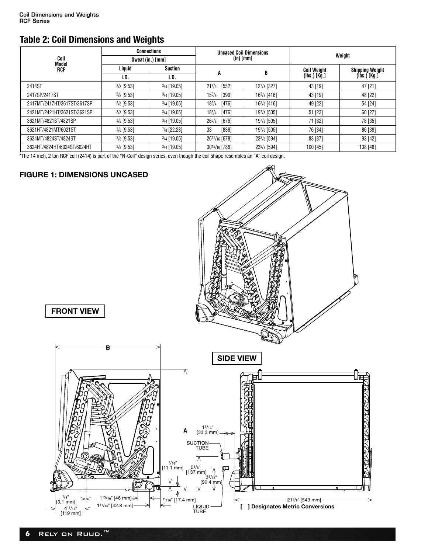## **Table 2: Coil Dimensions and Weights**

|                             | <b>Connections</b> |                  |                       | <b>Uncased Coil Dimensions</b> | Weight             |                        |  |  |
|-----------------------------|--------------------|------------------|-----------------------|--------------------------------|--------------------|------------------------|--|--|
| Coil<br>Model               |                    | Sweat (in.) [mm] |                       | $(in)$ [mm]                    |                    |                        |  |  |
| RCF                         | Liquid             | <b>Suction</b>   |                       |                                | <b>Coil Weight</b> | <b>Shipping Weight</b> |  |  |
|                             | I.D.               | I.D.             | A                     |                                | $(lbs.)$ [Kg.]     | $(Ibs.)$ [Kg.]         |  |  |
| 2414ST                      | $3/8$ [9.53]       | $3/4$ [19.05]    | [552]<br>$21^{3/4}$   | 127/8 [327]                    | 43 [19]            | 47 [21]                |  |  |
| 2417SP/2417ST               | $3/8$ [9.53]       | $3/4$ [19.05]    | $15^{3}/8$<br>[390]   | 163/8 [416]                    | 43 [19]            | 48 [22]                |  |  |
| 2417MT/2417HT/3617ST/3617SP | $3/8$ [9.53]       | $3/4$ [19.05]    | $18^{3/4}$<br>[476]   | 163/8 [416]                    | 49 [22]            | 54 [24]                |  |  |
| 2421MT/2421HT/3621ST/3621SP | $3/8$ [9.53]       | $3/4$ [19.05]    | 183/4<br>$[476]$      | 197/8 [505]                    | 51 [23]            | 60 [27]                |  |  |
| 3621MT/4821ST/4821SP        | $3/8$ [9.53]       | $3/4$ [19.05]    | $[676]$<br>$26^{5/8}$ | 197/8 [505]                    | 71 [32]            | 78 [35]                |  |  |
| 3621HT/4821MT/6021ST        | $3/8$ [9.53]       | 7/8 [22.23]      | 33<br>[838]           | 197/8 [505]                    | 76 [34]            | 86 [39]                |  |  |
| 3624MT/4824ST/4824ST        | $3/8$ [9.53]       | $3/4$ [19.05]    | 2611/16 [678]         | 233/8 [594]                    | 83 [37]            | 93 [42]                |  |  |
| 3624HT/4824HT/6024ST/6024HT | $3/8$ [9.53]       | $3/4$ [19.05]    | 3015/16 [786]         | 233/8 [594]                    | 100 [45]           | 108 [48]               |  |  |

\*The 14 inch, 2 ton RCF coil (2414) is part of the "N-Coil" design series, even though the coil shape resembles an "A" coil design.

### **FIGURE 1: DIMENSIONS UNCASED**

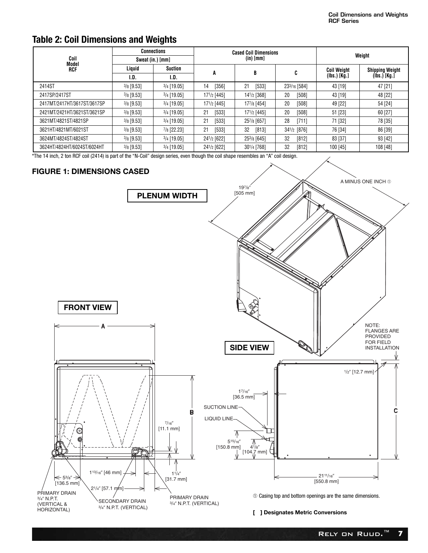### **Table 2: Coil Dimensions and Weights**

|                             |              | <b>Connections</b> | <b>Cased Coil Dimensions</b> |               |              | Weight             |                        |  |  |
|-----------------------------|--------------|--------------------|------------------------------|---------------|--------------|--------------------|------------------------|--|--|
| Coil<br>Model               |              | Sweat (in.) [mm]   |                              | $(in)$ $[mm]$ |              |                    |                        |  |  |
| RCF                         | Liquid       | <b>Suction</b>     |                              | B             | C            | <b>Coil Weight</b> | <b>Shipping Weight</b> |  |  |
|                             | I.D.         | I.D.               | A                            |               |              | (Ibs.) [Kg.]       | $(h, \check{S})$ [Kg.] |  |  |
| 2414ST                      | $3/8$ [9.53] | $3/4$ [19.05]      | [356]<br>14                  | 21<br>[533]   | 233/16 [584] | 43 [19]            | 47 [21]                |  |  |
| 2417SP/2417ST               | $3/8$ [9.53] | $3/4$ [19.05]      | 171/2 [445]                  | 141/2 [368]   | 20<br>[508]  | 43 [19]            | 48 [22]                |  |  |
| 2417MT/2417HT/3617ST/3617SP | $3/8$ [9.53] | $3/4$ [19.05]      | 171/2 [445]                  | 177/8 [454]   | 20<br>[508]  | 49 [22]            | 54 [24]                |  |  |
| 2421MT/2421HT/3621ST/3621SP | $3/8$ [9.53] | $3/4$ [19.05]      | [533]<br>21                  | 171/2 [445]   | 20<br>[508]  | 51 [23]            | 60 [27]                |  |  |
| 3621MT/4821ST/4821SP        | $3/8$ [9.53] | $3/4$ [19.05]      | [533]<br>21                  | 257/8 [657]   | 28<br>[711]  | 71 [32]            | 78 [35]                |  |  |
| 3621HT/4821MT/6021ST        | $3/8$ [9.53] | 7/8 [22.23]        | [533]<br>21                  | [813]<br>32   | 341/2 [876]  | 76 [34]            | 86 [39]                |  |  |
| 3624MT/4824ST/4824ST        | $3/8$ [9.53] | $3/4$ [19.05]      | 241/2 [622]                  | 253/8 [645]   | 32<br>[812]  | 83 [37]            | 93 [42]                |  |  |
| 3624HT/4824HT/6024ST/6024HT | $3/8$ [9.53] | $3/4$ [19.05]      | 241/2 [622]                  | 301/4 [768]   | 32<br>[812]  | 100 [45]           | 108 [48]               |  |  |

\*The 14 inch, 2 ton RCF coil (2414) is part of the "N-Coil" design series, even though the coil shape resembles an "A" coil design.

### **FIGURE 1: DIMENSIONS CASED**

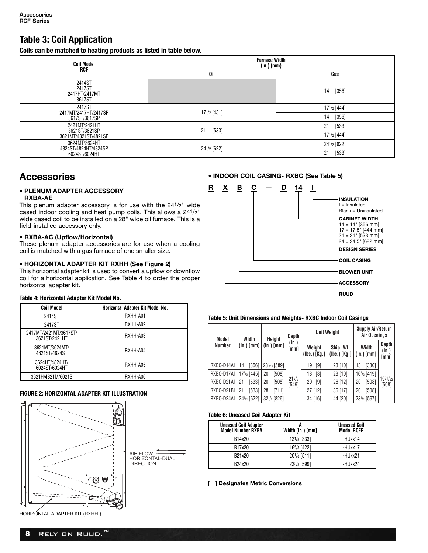### **Table 3: Coil Application**

**Coils can be matched to heating products as listed in table below.**

| <b>Coil Model</b><br>RCF                    | <b>Furnace Width</b><br>(In.) (mm) |               |  |  |  |  |
|---------------------------------------------|------------------------------------|---------------|--|--|--|--|
|                                             | 0il                                | Gas           |  |  |  |  |
| 2414ST<br>2417ST<br>2417HT/2417MT<br>3617ST |                                    | $[356]$<br>14 |  |  |  |  |
| 2417ST<br>2417MT/2417HT/2417SP              | 171/2 [431]                        | 171/2 [444]   |  |  |  |  |
| 3617ST/3617SP                               |                                    | 14<br>$[356]$ |  |  |  |  |
| 2421MT/2421HT<br>3621ST/3621SP              | $[533]$<br>21                      | 21<br>[533]   |  |  |  |  |
| 3621MT/4821ST/4821SP                        |                                    | 171/2 [444]   |  |  |  |  |
| 3624MT/3624HT<br>4824ST/4824HT/4824SP       |                                    | 241/2 [622]   |  |  |  |  |
| 6024ST/6024HT                               | 241/2 [622]                        | 21<br>$[533]$ |  |  |  |  |

### **Accessories**

#### **• PLENUM ADAPTER ACCESSORY RXBA-AE**

This plenum adapter accessory is for use with the 241/2" wide cased indoor cooling and heat pump coils. This allows a 241/2" wide cased coil to be installed on a 28" wide oil furnace. This is a field-installed accessory only.

#### **• RXBA-AC (Upflow/Horizontal)**

These plenum adapter accessories are for use when a cooling coil is matched with a gas furnace of one smaller size.

#### **• HORIZONTAL ADAPTER KIT RXHH (See Figure 2)**

This horizontal adapter kit is used to convert a upflow or downflow coil for a horizontal application. See Table 4 to order the proper horizontal adapter kit.

#### **Table 4: Horizontal Adapter Kit Model No.**

| <b>Coil Model</b>                      | Horizontal Adapter Kit Model No. |
|----------------------------------------|----------------------------------|
| 2414ST                                 | RXHH-A01                         |
| 2417ST                                 | RXHH-A02                         |
| 2417MT/2421MT/3617ST/<br>3621ST/2421HT | RXHH-A03                         |
| 3621MT/3624MT/<br>4821ST/4824ST        | RXHH-A04                         |
| 3624HT/4824HT/<br>6024ST/6024HT        | RXHH-A05                         |
| 3621H/4821M/6021S                      | RXHH-A06                         |

#### **FIGURE 2: HORIZONTAL ADAPTER KIT ILLUSTRATION**





**• INDOOR COIL CASING- RXBC (See Table 5)**

#### **Table 5: Unit Dimensions and Weights- RXBC Indoor Coil Casings**

| Model      | Width            | Height                                | Depth              |                        | <b>Unit Weight</b>        | <b>Supply Air/Return</b><br>Air Openings |                        |
|------------|------------------|---------------------------------------|--------------------|------------------------|---------------------------|------------------------------------------|------------------------|
| Number     |                  | $(in.)$ [mm] $  (in.)$ [mm] $ $       | (in.)<br>[mm]      | Weight<br>(Ibs.) [Kg.] | Ship. Wt.<br>(Ibs.) [Kg.] | Width<br>$(in.)$ [mm]                    | Depth<br>(in.)<br>[mm] |
| RXBC-D14AI | [356]<br>14      | 23 <sup>3</sup> / <sub>16</sub> [589] |                    | [9]<br>19              | 23 [10]                   | [330]<br>13                              |                        |
| RXBC-D17AI | $17^{1/2}$ [445] | [508]<br>20                           |                    | [8]<br>18              | 23 [10]                   | 16 <sup>1</sup> / <sub>2</sub> [419]     |                        |
| RXBC-D21AI | [533]<br>21      | [508]<br>20                           | $21^{5/8}$<br>5491 | [9]<br>20              | 26 [12]                   | [508]<br>20                              | 1931/32<br>[508]       |
| RXBC-D21BI | [533]<br>21      | 28<br>[711]                           |                    | 27 [12]                | 36 [17]                   | [508]<br>20                              |                        |
| RXBC-D24AI | 241/2 [622]      | $32\frac{1}{2}$ [826]                 |                    | 34 [16]                | 44 [20]                   | 231/2 [597]                              |                        |

#### **Table 6: Uncased Coil Adapter Kit**

| <b>Uncased Coil Adapter</b><br><b>Model Number RXBA</b> | Width (in.) [mm]         | <b>Uncased Coil</b><br><b>Model RCFP</b> |
|---------------------------------------------------------|--------------------------|------------------------------------------|
| B14x20                                                  | 13 <sup>1</sup> /8 [333] | -HUxx14                                  |
| B17x20                                                  | 165/8 [422]              | -HUxx17                                  |
| B21x20                                                  | 201/8 [511]              | -HUxx21                                  |
| B24x20                                                  | 235/8 [599]              | -HUxx24                                  |

**[ ] Designates Metric Conversions**

HORIZONTAL ADAPTER KIT (RXHH-)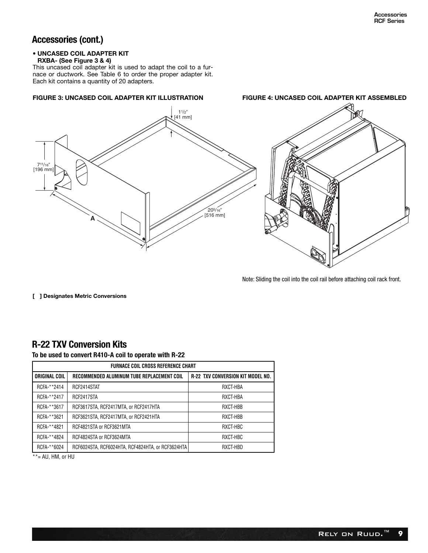### **Accessories (cont.)**

#### **• UNCASED COIL ADAPTER KIT**

#### **RXBA- (See Figure 3 & 4)**

This uncased coil adapter kit is used to adapt the coil to a furnace or ductwork. See Table 6 to order the proper adapter kit. Each kit contains a quantity of 20 adapters.



Note: Sliding the coil into the coil rail before attaching coil rack front.

**[ ] Designates Metric Conversions**

### **R-22 TXV Conversion Kits**

**To be used to convert R410-A coil to operate with R-22**

| <b>FURNACE COIL CROSS REFERENCE CHART</b> |                                                   |                                          |  |  |  |  |  |
|-------------------------------------------|---------------------------------------------------|------------------------------------------|--|--|--|--|--|
| ORIGINAL COIL                             | RECOMMENDED ALUMINUM TUBE REPLACEMENT COIL        | <b>R-22 TXV CONVERSION KIT MODEL NO.</b> |  |  |  |  |  |
| RCFA-**2414                               | RCF2414STAT                                       | RXCT-HBA                                 |  |  |  |  |  |
| RCFA-**2417                               | RCF2417STA                                        | RXCT-HBA                                 |  |  |  |  |  |
| RCFA-**3617                               | RCF3617STA, RCF2417MTA, or RCF2417HTA             | RXCT-HBB                                 |  |  |  |  |  |
| RCFA-**3621                               | RCF3621STA, RCF2417MTA, or RCF2421HTA             | RXCT-HBB                                 |  |  |  |  |  |
| RCFA-**4821                               | RCF4821STA or RCF3621MTA                          | RXCT-HBC                                 |  |  |  |  |  |
| RCFA-**4824                               | RCF4824STA or RCF3624MTA                          | RXCT-HBC                                 |  |  |  |  |  |
| RCFA-**6024                               | RCF6024STA, RCF6024HTA, RCF4824HTA, or RCF3624HTA | RXCT-HBD                                 |  |  |  |  |  |

 $*$  \* = AU, HM, or HU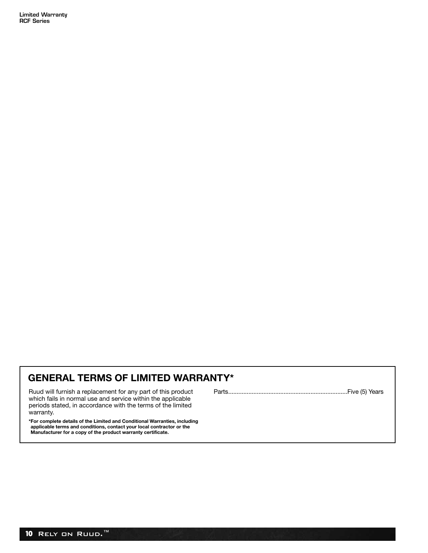**Limited Warranty RCF Series**

# **GENERAL TERMS OF LIMITED WARRANTY\***

Ruud will furnish a replacement for any part of this product which fails in normal use and service within the applicable periods stated, in accordance with the terms of the limited warranty.

\*For complete details of the Limited and Conditional Warranties, including<br>applicable terms and conditions, contact your local contractor or the<br>Manufacturer for a copy of the product warranty certificate.

Parts.......................................................................Five (5) Years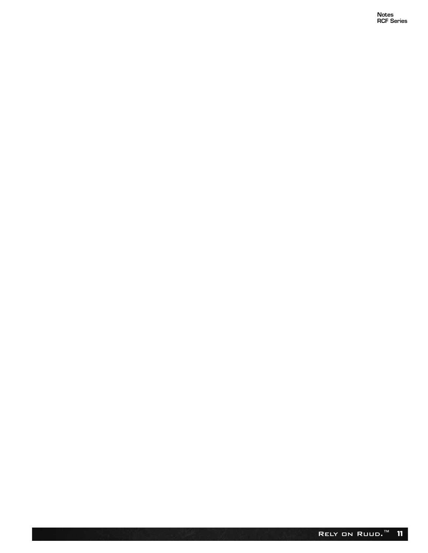Notes<br>RCF Series